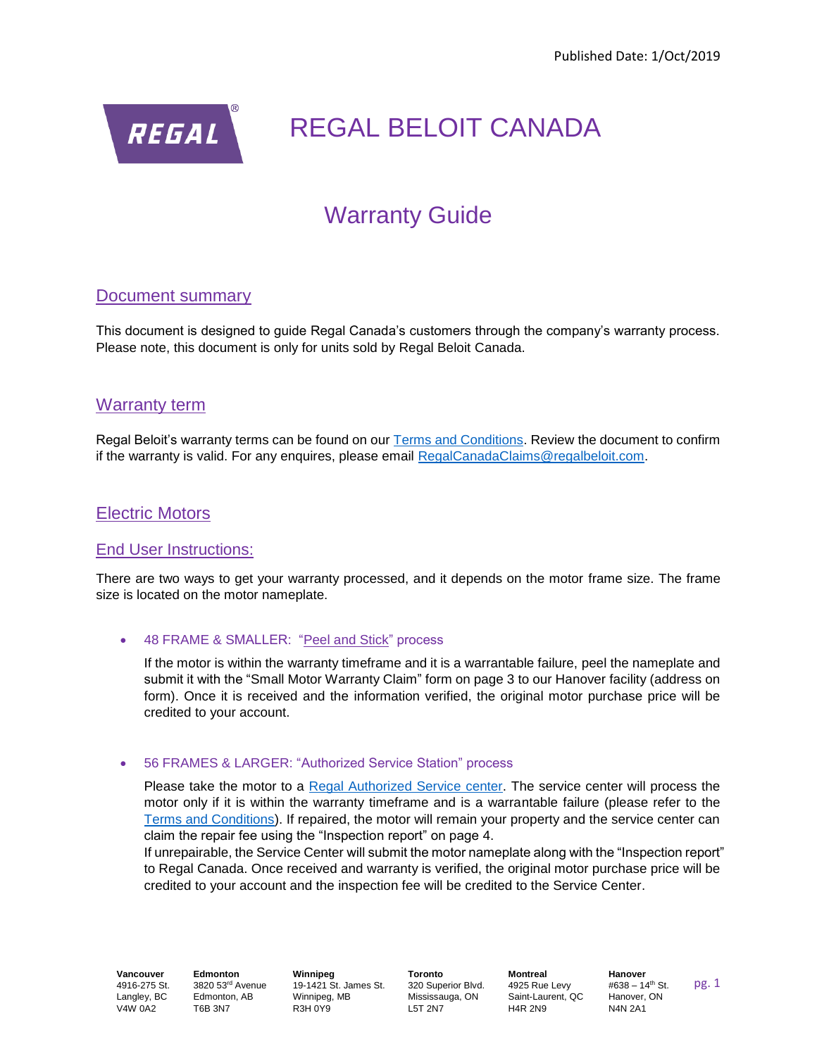

# Warranty Guide

# Document summary

This document is designed to guide Regal Canada's customers through the company's warranty process. Please note, this document is only for units sold by Regal Beloit Canada.

## Warranty term

Regal Beloit's warranty terms can be found on our [Terms and Conditions.](https://rbiz.regalbeloit.ca/OA_HTML/rbclctermsandconditions.pdf) Review the document to confirm if the warranty is valid. For any enquires, please email [RegalCanadaClaims@regalbeloit.com.](mailto:RegalCanadaClaims@regalbeloit.com)

## Electric Motors

### End User Instructions:

There are two ways to get your warranty processed, and it depends on the motor frame size. The frame size is located on the motor nameplate.

#### • 48 FRAME & SMALLER: "Peel and Stick" process

If the motor is within the warranty timeframe and it is a warrantable failure, peel the nameplate and submit it with the "Small Motor Warranty Claim" form on page 3 to our Hanover facility (address on form). Once it is received and the information verified, the original motor purchase price will be credited to your account.

#### • 56 FRAMES & LARGER: "Authorized Service Station" process

Please take the motor to a [Regal Authorized Service center.](https://www.regalbeloit.com/Where-To-Buy?brand=Leeson&provider_type=distributor) The service center will process the motor only if it is within the warranty timeframe and is a warrantable failure (please refer to the [Terms and Conditions\)](https://rbiz.regalbeloit.ca/OA_HTML/rbclctermsandconditions.pdf). If repaired, the motor will remain your property and the service center can claim the repair fee using the "Inspection report" on page 4.

If unrepairable, the Service Center will submit the motor nameplate along with the "Inspection report" to Regal Canada. Once received and warranty is verified, the original motor purchase price will be credited to your account and the inspection fee will be credited to the Service Center.

**Vancouver** 4916-275 St. Langley, BC V4W 0A2

**Edmonton** 3820 53rd Avenue Edmonton, AB T6B 3N7

**Winnipeg** 19-1421 St. James St. Winnipeg, MB R3H 0Y9

**Toronto** 320 Superior Blvd. Mississauga, ON L5T 2N7

**Montreal** 4925 Rue Levy Saint-Laurent, QC H4R 2N9

**Hanover**  $#638 - 14^{th}$  St. Hanover, ON N4N 2A1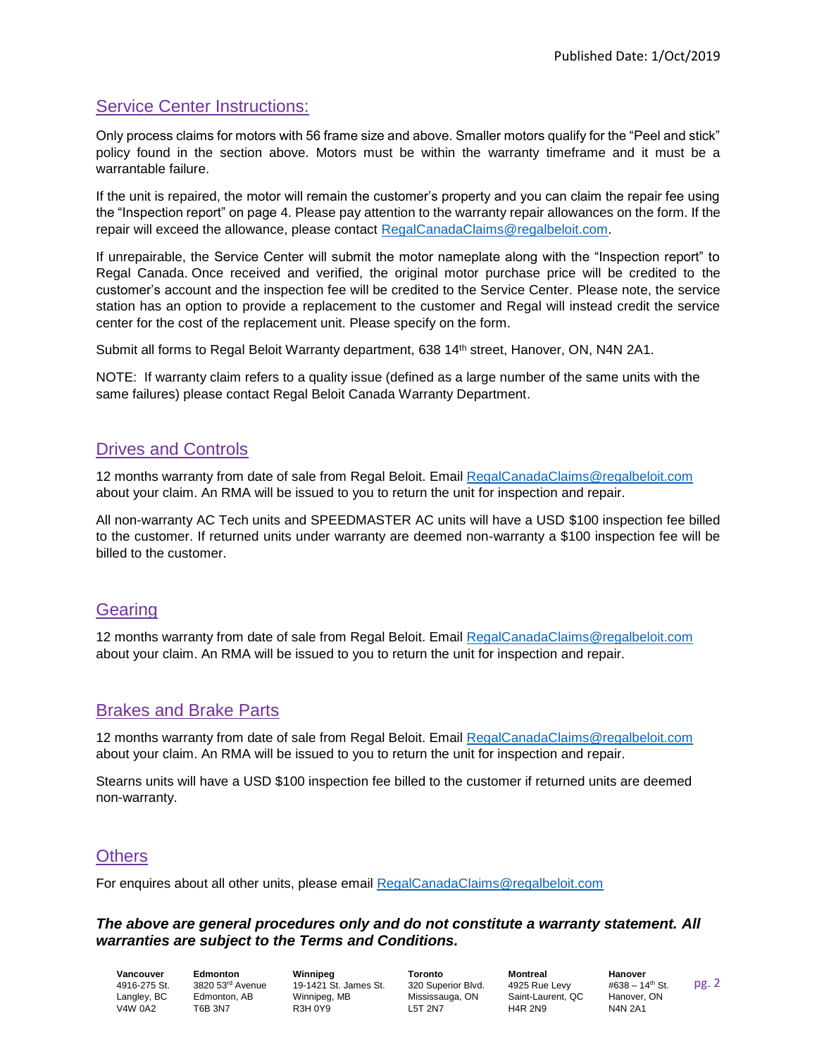# Service Center Instructions:

Only process claims for motors with 56 frame size and above. Smaller motors qualify for the "Peel and stick" policy found in the section above. Motors must be within the warranty timeframe and it must be a warrantable failure.

If the unit is repaired, the motor will remain the customer's property and you can claim the repair fee using the "Inspection report" on page 4. Please pay attention to the warranty repair allowances on the form. If the repair will exceed the allowance, please contact [RegalCanadaClaims@regalbeloit.com.](mailto:RegalCanadaClaims@regalbeloit.com)

If unrepairable, the Service Center will submit the motor nameplate along with the "Inspection report" to Regal Canada. Once received and verified, the original motor purchase price will be credited to the customer's account and the inspection fee will be credited to the Service Center. Please note, the service station has an option to provide a replacement to the customer and Regal will instead credit the service center for the cost of the replacement unit. Please specify on the form.

Submit all forms to Regal Beloit Warranty department, 638 14th street, Hanover, ON, N4N 2A1.

NOTE: If warranty claim refers to a quality issue (defined as a large number of the same units with the same failures) please contact Regal Beloit Canada Warranty Department.

# Drives and Controls

12 months warranty from date of sale from Regal Beloit. Email [RegalCanadaClaims@regalbeloit.com](mailto:RegalCanadaClaims@regalbeloit.com) about your claim. An RMA will be issued to you to return the unit for inspection and repair.

All non-warranty AC Tech units and SPEEDMASTER AC units will have a USD \$100 inspection fee billed to the customer. If returned units under warranty are deemed non-warranty a \$100 inspection fee will be billed to the customer.

# **Gearing**

12 months warranty from date of sale from Regal Beloit. Email [RegalCanadaClaims@regalbeloit.com](mailto:RegalCanadaClaims@regalbeloit.com) about your claim. An RMA will be issued to you to return the unit for inspection and repair.

# Brakes and Brake Parts

12 months warranty from date of sale from Regal Beloit. Email [RegalCanadaClaims@regalbeloit.com](mailto:RegalCanadaClaims@regalbeloit.com) about your claim. An RMA will be issued to you to return the unit for inspection and repair.

Stearns units will have a USD \$100 inspection fee billed to the customer if returned units are deemed non-warranty.

# **Others**

For enquires about all other units, please email [RegalCanadaClaims@regalbeloit.com](mailto:RegalCanadaClaims@regalbeloit.com)

#### *The above are general procedures only and do not constitute a warranty statement. All warranties are subject to the Terms and Conditions.*

**Vancouver** 4916-275 St. Langley, BC V4W 0A2

**Edmonton** 3820 53rd Avenue Edmonton, AB T6B 3N7

**Winnipeg** 19-1421 St. James St. Winnipeg, MB R3H 0Y9

**Toronto** 320 Superior Blvd. Mississauga, ON L5T 2N7

**Montreal** 4925 Rue Levy Saint-Laurent, QC H4R 2N9

**Hanover**  $#638 - 14^{th}$  St. Hanover, ON N4N 2A1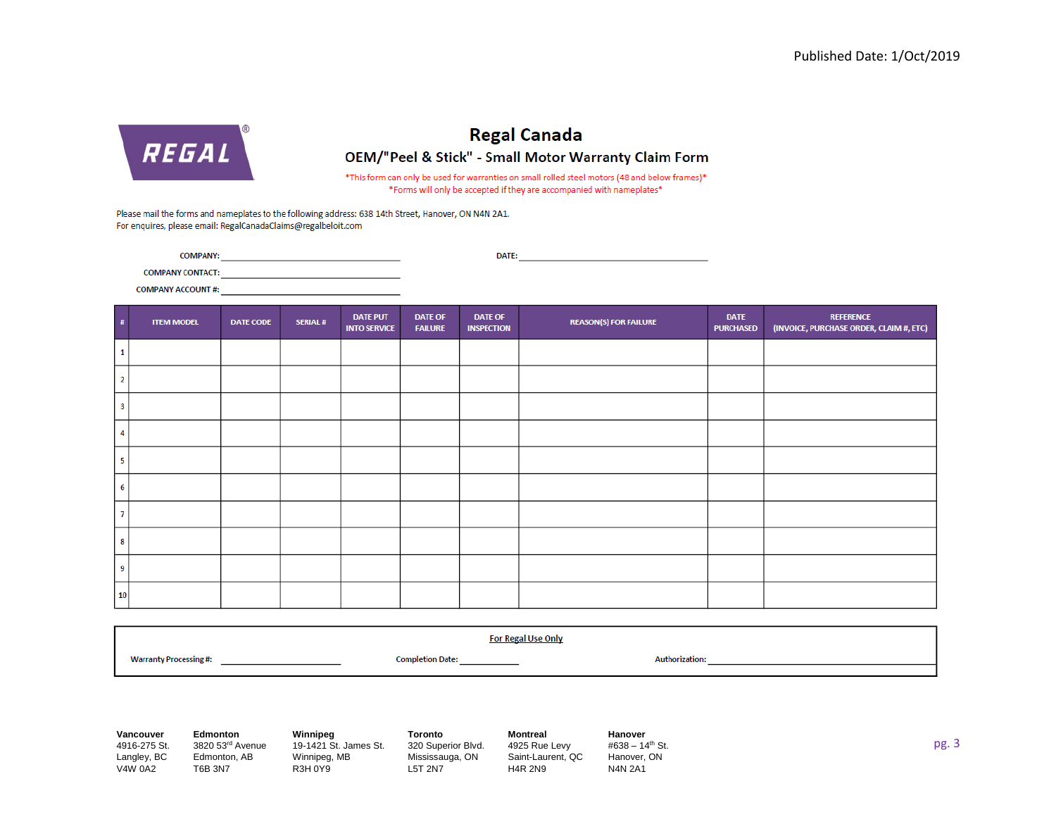

# **Regal Canada** OEM/"Peel & Stick" - Small Motor Warranty Claim Form

\*This form can only be used for warranties on small rolled steel motors (48 and below frames)\* \*Forms will only be accepted if they are accompanied with nameplates\*

Please mail the forms and nameplates to the following address: 638 14th Street, Hanover, ON N4N 2A1. For enquires, please email: RegalCanadaClaims@regalbeloit.com

**COMPANY:** DATE:

**COMPANY CONTACT:** 

**COMPANY ACCOUNT #:** 

| #  | <b>ITEM MODEL</b> | <b>DATE CODE</b> | <b>SERIAL#</b> | <b>DATE PUT</b><br><b>INTO SERVICE</b> | <b>DATE OF</b><br><b>FAILURE</b> | <b>DATE OF</b><br><b>INSPECTION</b> | <b>REASON(S) FOR FAILURE</b> | <b>DATE</b><br><b>PURCHASED</b> | <b>REFERENCE</b><br>(INVOICE, PURCHASE ORDER, CLAIM #, ETC) |
|----|-------------------|------------------|----------------|----------------------------------------|----------------------------------|-------------------------------------|------------------------------|---------------------------------|-------------------------------------------------------------|
|    |                   |                  |                |                                        |                                  |                                     |                              |                                 |                                                             |
|    |                   |                  |                |                                        |                                  |                                     |                              |                                 |                                                             |
|    |                   |                  |                |                                        |                                  |                                     |                              |                                 |                                                             |
|    |                   |                  |                |                                        |                                  |                                     |                              |                                 |                                                             |
| 5  |                   |                  |                |                                        |                                  |                                     |                              |                                 |                                                             |
| 6  |                   |                  |                |                                        |                                  |                                     |                              |                                 |                                                             |
|    |                   |                  |                |                                        |                                  |                                     |                              |                                 |                                                             |
| 8  |                   |                  |                |                                        |                                  |                                     |                              |                                 |                                                             |
| 9  |                   |                  |                |                                        |                                  |                                     |                              |                                 |                                                             |
| 10 |                   |                  |                |                                        |                                  |                                     |                              |                                 |                                                             |

| <b>For Regal Use Only</b>     |                         |                       |  |  |
|-------------------------------|-------------------------|-----------------------|--|--|
| <b>Warranty Processing #:</b> | <b>Completion Date:</b> | <b>Authorization:</b> |  |  |
|                               |                         |                       |  |  |

**Vancouver** 4916-275 St. Langley, BC V4W 0A2

**Edmonton**

Edmonton, AB T6B 3N7

3820 53rd Avenue **Winnipeg** 19-1421 St. James St. Winnipeg, MB R3H 0Y9

**Toronto** 320 Superior Blvd. Mississauga, ON L5T 2N7

**Montreal** 4925 Rue Levy Saint-Laurent, QC H4R 2N9

**Hanover** #638 –  $14^{th}$  St. Hanover, ON N4N 2A1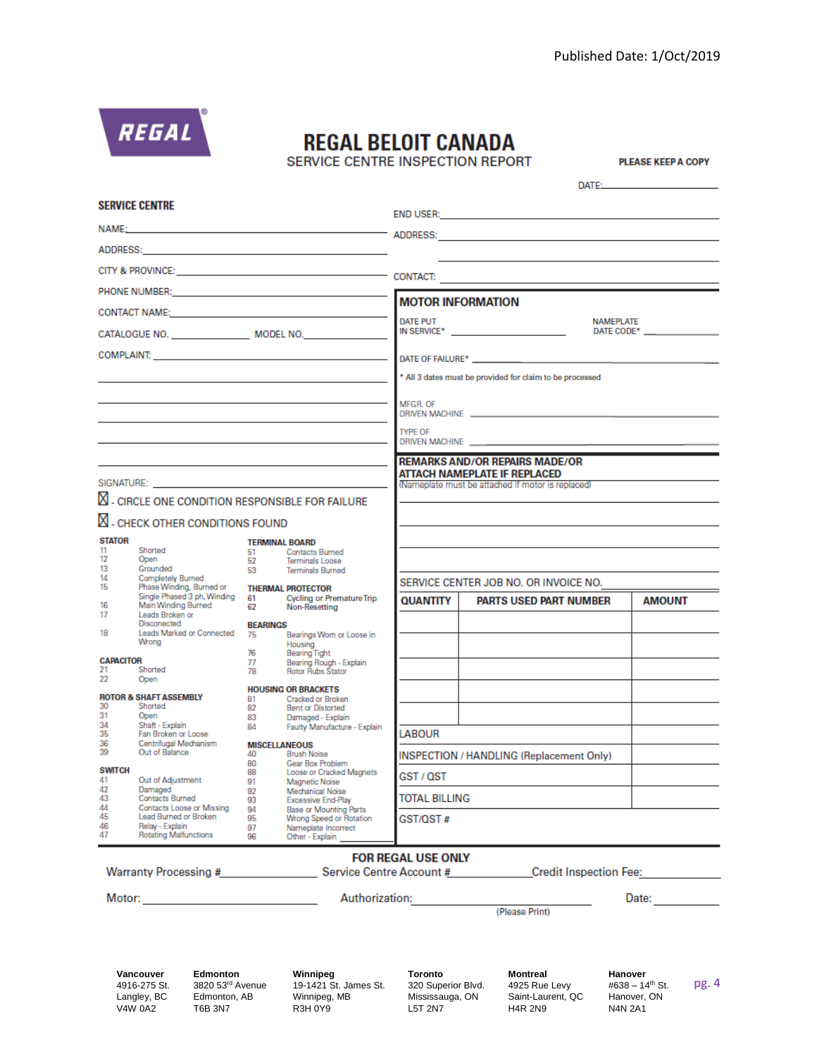

# **REGAL BELOIT CANADA**

SERVICE CENTRE INSPECTION REPORT

**PLEASE KEEP A COPY** 

|                                                                                                                                                                                                                                |                                                                                                                                                                                                                                |                                                                                         |                                                                                      |                                                          |                                                                                                                                                                                                                                | DATE: THE STATE OF THE STATE OF THE STATE OF THE STATE OF THE STATE OF THE STATE OF THE STATE OF THE STATE OF THE STATE OF THE STATE OF THE STATE OF THE STATE OF THE STATE OF THE STATE OF THE STATE OF THE STATE OF THE STAT |  |
|--------------------------------------------------------------------------------------------------------------------------------------------------------------------------------------------------------------------------------|--------------------------------------------------------------------------------------------------------------------------------------------------------------------------------------------------------------------------------|-----------------------------------------------------------------------------------------|--------------------------------------------------------------------------------------|----------------------------------------------------------|--------------------------------------------------------------------------------------------------------------------------------------------------------------------------------------------------------------------------------|--------------------------------------------------------------------------------------------------------------------------------------------------------------------------------------------------------------------------------|--|
| <b>SERVICE CENTRE</b>                                                                                                                                                                                                          |                                                                                                                                                                                                                                |                                                                                         |                                                                                      |                                                          | END USER: The contract of the contract of the contract of the contract of the contract of the contract of the contract of the contract of the contract of the contract of the contract of the contract of the contract of the  |                                                                                                                                                                                                                                |  |
| NAME: The contract of the contract of the contract of the contract of the contract of the contract of the contract of the contract of the contract of the contract of the contract of the contract of the contract of the cont |                                                                                                                                                                                                                                |                                                                                         |                                                                                      |                                                          |                                                                                                                                                                                                                                |                                                                                                                                                                                                                                |  |
|                                                                                                                                                                                                                                | ADDRESS: 2008 - 2009 - 2009 - 2009 - 2010 - 2010 - 2010 - 2010 - 2010 - 2010 - 2010 - 2010 - 2010 - 2010 - 20                                                                                                                  |                                                                                         |                                                                                      |                                                          |                                                                                                                                                                                                                                |                                                                                                                                                                                                                                |  |
|                                                                                                                                                                                                                                |                                                                                                                                                                                                                                |                                                                                         |                                                                                      |                                                          |                                                                                                                                                                                                                                |                                                                                                                                                                                                                                |  |
|                                                                                                                                                                                                                                |                                                                                                                                                                                                                                |                                                                                         |                                                                                      |                                                          |                                                                                                                                                                                                                                |                                                                                                                                                                                                                                |  |
|                                                                                                                                                                                                                                | CONTACT NAME: And the contract of the contract of the contract of the contract of the contract of the contract of the contract of the contract of the contract of the contract of the contract of the contract of the contract |                                                                                         |                                                                                      |                                                          | <b>MOTOR INFORMATION</b>                                                                                                                                                                                                       |                                                                                                                                                                                                                                |  |
|                                                                                                                                                                                                                                |                                                                                                                                                                                                                                |                                                                                         |                                                                                      | <b>DATE PUT</b>                                          |                                                                                                                                                                                                                                | <b>NAMEPLATE</b><br>DATE CODE* NAME OF STREET                                                                                                                                                                                  |  |
|                                                                                                                                                                                                                                |                                                                                                                                                                                                                                |                                                                                         |                                                                                      |                                                          | DATE OF FAILURE* NAMES AND THE OFFICERS AND THE OFFICERS AND THE STATE OF THE STATE OF THE STATE OF THE STATE OF THE STATE OF THE STATE OF THE STATE OF THE STATE OF THE STATE OF THE STATE OF THE STATE OF THE STATE OF THE S |                                                                                                                                                                                                                                |  |
|                                                                                                                                                                                                                                |                                                                                                                                                                                                                                |                                                                                         |                                                                                      | * All 3 dates must be provided for claim to be processed |                                                                                                                                                                                                                                |                                                                                                                                                                                                                                |  |
|                                                                                                                                                                                                                                |                                                                                                                                                                                                                                |                                                                                         |                                                                                      |                                                          |                                                                                                                                                                                                                                |                                                                                                                                                                                                                                |  |
|                                                                                                                                                                                                                                |                                                                                                                                                                                                                                |                                                                                         |                                                                                      | MFGR, OF                                                 |                                                                                                                                                                                                                                |                                                                                                                                                                                                                                |  |
|                                                                                                                                                                                                                                |                                                                                                                                                                                                                                |                                                                                         | <b>TYPE OF</b><br>DRIVEN MACHINE ___________                                         |                                                          |                                                                                                                                                                                                                                |                                                                                                                                                                                                                                |  |
|                                                                                                                                                                                                                                |                                                                                                                                                                                                                                |                                                                                         |                                                                                      |                                                          | <b>REMARKS AND/OR REPAIRS MADE/OR</b><br><b>ATTACH NAMEPLATE IF REPLACED</b>                                                                                                                                                   |                                                                                                                                                                                                                                |  |
|                                                                                                                                                                                                                                |                                                                                                                                                                                                                                |                                                                                         |                                                                                      |                                                          | (Nameplate must be attached if motor is replaced)                                                                                                                                                                              |                                                                                                                                                                                                                                |  |
|                                                                                                                                                                                                                                | $\boxtimes$ - CIRCLE ONE CONDITION RESPONSIBLE FOR FAILURE                                                                                                                                                                     |                                                                                         |                                                                                      |                                                          |                                                                                                                                                                                                                                |                                                                                                                                                                                                                                |  |
|                                                                                                                                                                                                                                | <b>N</b> - CHECK OTHER CONDITIONS FOUND                                                                                                                                                                                        |                                                                                         |                                                                                      |                                                          |                                                                                                                                                                                                                                |                                                                                                                                                                                                                                |  |
| <b>STATOR</b><br>11                                                                                                                                                                                                            | Shorted                                                                                                                                                                                                                        | <b>TERMINAL BOARD</b><br>51                                                             | <b>Contacts Rurned</b>                                                               |                                                          |                                                                                                                                                                                                                                |                                                                                                                                                                                                                                |  |
| 12<br>13                                                                                                                                                                                                                       | Open<br>Grounded                                                                                                                                                                                                               | 52<br>53                                                                                | Terminals Loose<br><b>Terminals Burned</b>                                           |                                                          |                                                                                                                                                                                                                                |                                                                                                                                                                                                                                |  |
| 14<br>15                                                                                                                                                                                                                       | Completely Burned<br>Phase Winding, Burned or                                                                                                                                                                                  |                                                                                         | <b>THERMAL PROTECTOR</b>                                                             |                                                          | SERVICE CENTER JOB NO. OR INVOICE NO.                                                                                                                                                                                          |                                                                                                                                                                                                                                |  |
| 16                                                                                                                                                                                                                             | Single Phased 3 ph, Winding<br>Main Winding Burned                                                                                                                                                                             | 61<br>62                                                                                | <b>Cycling or Premature Trip</b><br>Non-Resetting                                    | <b>QUANTITY</b>                                          | <b>PARTS USED PART NUMBER</b>                                                                                                                                                                                                  | <b>AMOUNT</b>                                                                                                                                                                                                                  |  |
| 17                                                                                                                                                                                                                             | Leads Broken or<br>Disconected                                                                                                                                                                                                 | <b>BEARINGS</b>                                                                         |                                                                                      |                                                          |                                                                                                                                                                                                                                |                                                                                                                                                                                                                                |  |
| 18                                                                                                                                                                                                                             | Leads Marked or Connected<br>Wrong                                                                                                                                                                                             | 75                                                                                      | Bearings Worn or Loose in<br>Housing                                                 |                                                          |                                                                                                                                                                                                                                |                                                                                                                                                                                                                                |  |
| <b>CAPACITOR</b><br>21                                                                                                                                                                                                         | Shorted                                                                                                                                                                                                                        | 76<br>77                                                                                | <b>Bearing Tight</b><br>Bearing Rough - Explain                                      |                                                          |                                                                                                                                                                                                                                |                                                                                                                                                                                                                                |  |
| 22                                                                                                                                                                                                                             | Open                                                                                                                                                                                                                           | 78                                                                                      | Rotor Rubs Stator                                                                    |                                                          |                                                                                                                                                                                                                                |                                                                                                                                                                                                                                |  |
| 30                                                                                                                                                                                                                             | <b>ROTOR &amp; SHAFT ASSEMBLY</b><br>Shorted                                                                                                                                                                                   | <b>HOUSING OR BRACKETS</b><br>Cracked or Broken<br>81<br><b>Bent or Distorted</b><br>82 |                                                                                      |                                                          |                                                                                                                                                                                                                                |                                                                                                                                                                                                                                |  |
| 31<br>34                                                                                                                                                                                                                       | Open<br>Shaft - Explain                                                                                                                                                                                                        | 83<br>84                                                                                | Damaged - Explain<br>Faulty Manufacture - Explain                                    |                                                          |                                                                                                                                                                                                                                |                                                                                                                                                                                                                                |  |
| 35<br>36                                                                                                                                                                                                                       | Fan Broken or Loose<br>Centrifugal Mechanism                                                                                                                                                                                   | <b>MISCELLANEOUS</b>                                                                    |                                                                                      | <b>LABOUR</b>                                            |                                                                                                                                                                                                                                |                                                                                                                                                                                                                                |  |
| 39                                                                                                                                                                                                                             | Out of Balance                                                                                                                                                                                                                 | 40<br>80                                                                                | <b>Brush Noise</b><br>Gear Box Problem                                               |                                                          | INSPECTION / HANDLING (Replacement Only)                                                                                                                                                                                       |                                                                                                                                                                                                                                |  |
| <b>SWITCH</b><br>41                                                                                                                                                                                                            | Out of Adjustment                                                                                                                                                                                                              | 88<br>91<br>92<br>93<br>94<br>95                                                        | Loose or Cracked Magnets<br>Magnetic Noise<br>Mechanical Noise<br>Excessive End-Play | GST / QST                                                |                                                                                                                                                                                                                                |                                                                                                                                                                                                                                |  |
| 42<br>43                                                                                                                                                                                                                       | Damaged<br>Contacts Burned<br>Contacts Loose or Missing<br>Lead Burned or Broken                                                                                                                                               |                                                                                         |                                                                                      | <b>TOTAL BILLING</b>                                     |                                                                                                                                                                                                                                |                                                                                                                                                                                                                                |  |
| 44<br>45                                                                                                                                                                                                                       |                                                                                                                                                                                                                                |                                                                                         | <b>Base or Mounting Parts</b><br>Wrong Speed or Rotation                             | GST/QST #                                                |                                                                                                                                                                                                                                |                                                                                                                                                                                                                                |  |
| 46<br>47                                                                                                                                                                                                                       | Relay - Explain<br><b>Rotating Malfunctions</b>                                                                                                                                                                                | 97<br>96                                                                                | Nameplate Incorrect<br>Other - Explain                                               |                                                          |                                                                                                                                                                                                                                |                                                                                                                                                                                                                                |  |
| <b>FOR REGAL USE ONLY</b><br>Warranty Processing # Service Centre Account # Credit Inspection Fee:                                                                                                                             |                                                                                                                                                                                                                                |                                                                                         |                                                                                      |                                                          |                                                                                                                                                                                                                                |                                                                                                                                                                                                                                |  |
|                                                                                                                                                                                                                                |                                                                                                                                                                                                                                |                                                                                         |                                                                                      |                                                          |                                                                                                                                                                                                                                |                                                                                                                                                                                                                                |  |
|                                                                                                                                                                                                                                |                                                                                                                                                                                                                                |                                                                                         | Authorization:                                                                       |                                                          |                                                                                                                                                                                                                                | Date:                                                                                                                                                                                                                          |  |
|                                                                                                                                                                                                                                |                                                                                                                                                                                                                                |                                                                                         |                                                                                      |                                                          | (Please Print)                                                                                                                                                                                                                 |                                                                                                                                                                                                                                |  |

**Vancouver** 4916-275 St. Langley, BC V4W 0A2

**Edmonton** 3820 53rd Avenue Edmonton, AB T6B 3N7

**Winnipeg** 19-1421 St. James St. Winnipeg, MB R3H 0Y9

**Toronto** 320 Superior Blvd. Mississauga, ON L5T 2N7

**Montreal** 4925 Rue Levy Saint-Laurent, QC H4R 2N9

**Hanover** #638 - 14<sup>th</sup> St. Hanover, ON N4N 2A1